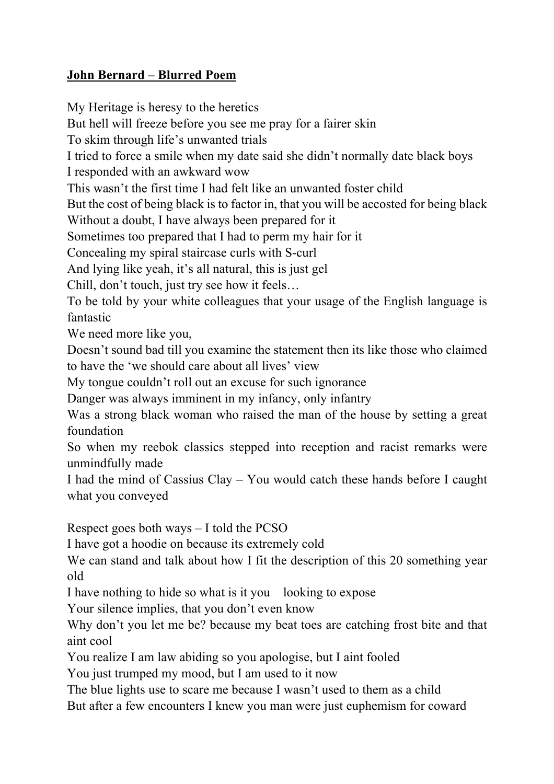## **John Bernard – Blurred Poem**

My Heritage is heresy to the heretics But hell will freeze before you see me pray for a fairer skin To skim through life's unwanted trials I tried to force a smile when my date said she didn't normally date black boys I responded with an awkward wow This wasn't the first time I had felt like an unwanted foster child But the cost of being black is to factor in, that you will be accosted for being black Without a doubt, I have always been prepared for it Sometimes too prepared that I had to perm my hair for it Concealing my spiral staircase curls with S-curl And lying like yeah, it's all natural, this is just gel Chill, don't touch, just try see how it feels… To be told by your white colleagues that your usage of the English language is fantastic We need more like you, Doesn't sound bad till you examine the statement then its like those who claimed to have the 'we should care about all lives' view My tongue couldn't roll out an excuse for such ignorance Danger was always imminent in my infancy, only infantry Was a strong black woman who raised the man of the house by setting a great foundation So when my reebok classics stepped into reception and racist remarks were unmindfully made I had the mind of Cassius Clay – You would catch these hands before I caught what you conveyed Respect goes both ways – I told the PCSO I have got a hoodie on because its extremely cold We can stand and talk about how I fit the description of this 20 something year old I have nothing to hide so what is it you looking to expose Your silence implies, that you don't even know

Why don't you let me be? because my beat toes are catching frost bite and that aint cool

You realize I am law abiding so you apologise, but I aint fooled

You just trumped my mood, but I am used to it now

The blue lights use to scare me because I wasn't used to them as a child But after a few encounters I knew you man were just euphemism for coward